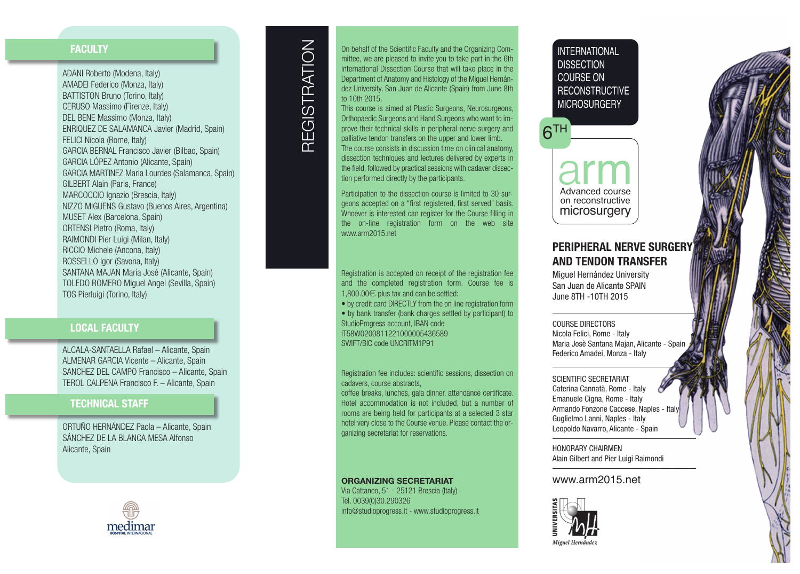### **FA C U LT Y**

ADANI Roberto (Modena, Italy) I I l AMADEI Federico (Monza, Italy) I i I l BATTISTON Bruno (Torino, Italy) I i I l CERUSO Massimo (Firenze, Italy) i i I l DEL BENE Massimo (Monza, Italy) i I l ENRIQUEZ DE SALAMANCA Javier (Madrid, Spain) I i i i FELICI Nicola (Rome, Italy) I I i l I l GARCIA BERNAL Francisco Javier (Bilbao, Spain) I i i i l i GARCIA LÓPEZ Antonio (Alicante, Spain) I i l i i GARCIA MARTINEZ Maria Lourdes (Salamanca, Spain) I I i l i GILBERT Alain (Paris, France) I l i i MARCOCCIO Ignazio (Brescia, Italy) I I i i I l NIZZO MIGUENS Gustavo (Buenos Aires, Argentina) I I i i MUSET Alex (Barcelona, Spain) l l i ORTENSI Pietro (Roma, Italy) I i I l RAIMONDI Pier Luigi (Milan, Italy) I I i i i i l I l RICCIO Michele (Ancona, Italy) I I i l I l ROSSELLO Igor (Savona, Italy) I I l SANTANA MAJAN María José (Alicante, Spain) í l i i TOLEDO ROMERO Miguel Angel (Sevilla, Spain) i l l i l l i TOS Pierluigi (Torino, Italy) i l i i i I l

### **LOCAL FACULTY**

ALCALA-SANTAELLA Rafael – Alicante, Spain l l i i ALMENAR GARCIA Vicente - Alicante, Spain I i l i i SANCHEZ DEL CAMPO Francisco - Alicante, Spain i l i i TEROL CALPENA Francisco F. - Alicante, Spain i l i i

### **TECHNICAL STAFF**

ORTUÑO HERNÁNDEZ Paola – Alicante, Spain l l i i SÁNCHEZ DE LA BLANCA MESA Alfonso l Alicante, Spain l i i





On behalf of the Scientific Faculty and the Organizing Coml i i i l i i mittee, we are pleased to invite you to take part in the 6th i l i i i I nternational Dissection Course that will take place in the i l i i i l l l i Department of Anatomy and Histology of the Miguel Hernáni l i l dez University, San Juan de Alicante (Spain) from June 8th i i l i i to 10th 2015.

This course is aimed at Plastic Surgeons, Neurosurgeons, i i i l i Orthopaedic Surgeons and Hand Surgeons who want to imi i prove their technical skills in peripheral nerve surgery and i i l i l l i i l palliative tendon transfers on the upper and lower limb. l l i i l l i The course consists in discussion time on clinical anatomy, i i i i i l i i l dissection techniques and lectures delivered by experts in i i i l l i i the field, followed by practical sessions with cadaver disseci l l l i l i i i tion performed directly by the participants. i i l i i

Participation to the dissection course is limited to 30 suri i i i i i l i i geons accepted on a "first registered, first served" basis. i i i i Whoever is interested can register for the Course filling in i i i i l l i i the on-line registration form on the web site l i i i i www.arm2015.net

Registration is accepted on receipt of the registration fee i i i i i i and the completed registration form. Course fee is l i i i 1,800.00 € plus tax and can be settled: l l

- by credit card DIRECTLY from the on line registration form i I l i i i
- by bank transfer (bank charges settled by participant) to l i i StudioProgress account, IBAN code i I I T58W0200811221000005436589 SWIFT/BIC code UNCRITM1P91 I I I

Registration fee includes: scientific sessions, dissection on i i i l i i i i i i cadavers, course abstracts,

coffee breaks, lunches, gala dinner, attendance certificate. l l i i i Hotel accommodation is not included, but a number of l i i i l rooms are being held for participants at a selected 3 star i l i i l hotel very close to the Course venue. Please contact the orl l l ganizing secretariat for reservations. i i i i

#### **ORGANIZING SECRETARIAT**

Via Cattaneo, 51 - 25121 Brescia (Italy) i i I l Tel. 0039(0)30.290326 l i info@studioprogress.it - www.studioprogress.it i i i i

# IN I EHNATIONAL **DISSELININ CUURSE UN REUUNSTRUUTIVE** MIURUSURGERY

 $6<sup>TH</sup>$ 

arm on reconstructive microsurgery

# **PERIPHERAL NERVE SURGERY AND TENDON TRANSFER**

Miguel Hernández University San Juan de Alicante SPAIN June 8TH -10TH 2015

COURSE DIRECTORS Nicola Felici, Rome - Italy Maria Josè Santana Majan, Alicante - Spain Federico Amadei, Monza - Italy

SCIENTIFIC SECRETARIAT Caterina Cannatà, Rome - Italy Emanuele Cigna, Rome - Italy Armando Fonzone Caccese, Naples - Ital y Guglielmo Lanni, Naples - Italy Leopoldo Navarro, Alicante - Spain

HONORARY CHAIRMEN Alain Gilbert and Pier Luigi Raimondi

### www.arm2015.net